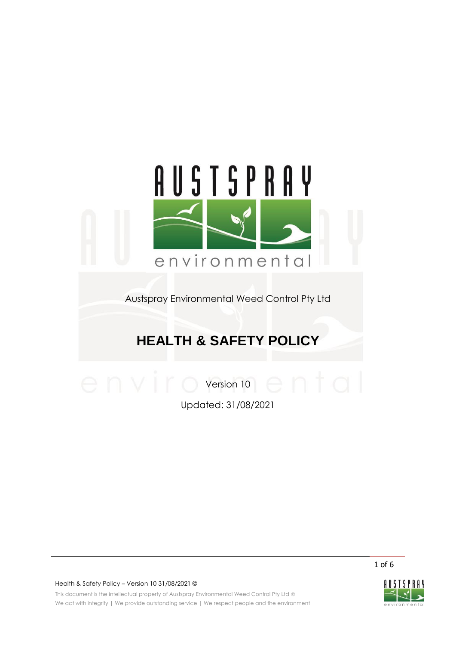

Austspray Environmental Weed Control Pty Ltd

# **HEALTH & SAFETY POLICY**

Version 10

Updated: 31/08/2021

1 of 6

Health & Safety Policy – Version 10 31/08/2021 ©

This document is the intellectual property of Austspray Environmental Weed Control Pty Ltd @ We act with integrity | We provide outstanding service | We respect people and the environment

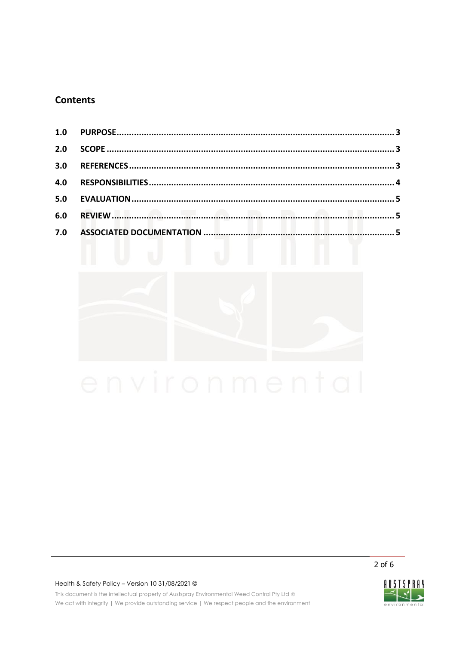# **Contents**

| 2.0   |  |
|-------|--|
| $3.0$ |  |
| 4.0   |  |
|       |  |
|       |  |
|       |  |



 $2$  of 6

## Health & Safety Policy - Version 10 31/08/2021 ©

This document is the intellectual property of Austspray Environmental Weed Control Pty Ltd @ We act with integrity | We provide outstanding service | We respect people and the environment

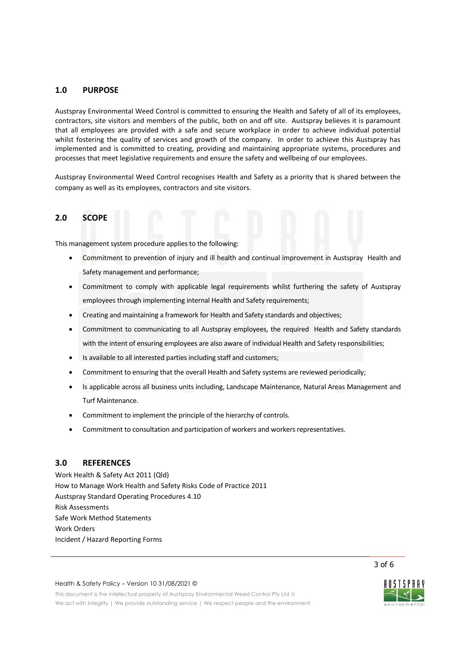# <span id="page-2-0"></span>**1.0 PURPOSE**

Austspray Environmental Weed Control is committed to ensuring the Health and Safety of all of its employees, contractors, site visitors and members of the public, both on and off site. Austspray believes it is paramount that all employees are provided with a safe and secure workplace in order to achieve individual potential whilst fostering the quality of services and growth of the company. In order to achieve this Austspray has implemented and is committed to creating, providing and maintaining appropriate systems, procedures and processes that meet legislative requirements and ensure the safety and wellbeing of our employees.

Austspray Environmental Weed Control recognises Health and Safety as a priority that is shared between the company as well as its employees, contractors and site visitors.

# <span id="page-2-1"></span>**2.0 SCOPE**

This management system procedure applies to the following:

- Commitment to prevention of injury and ill health and continual improvement in Austspray Health and Safety management and performance;
- Commitment to comply with applicable legal requirements whilst furthering the safety of Austspray employees through implementing internal Health and Safety requirements;
- Creating and maintaining a framework for Health and Safety standards and objectives;
- Commitment to communicating to all Austspray employees, the required Health and Safety standards with the intent of ensuring employees are also aware of individual Health and Safety responsibilities;
- Is available to all interested parties including staff and customers;
- Commitment to ensuring that the overall Health and Safety systems are reviewed periodically;
- Is applicable across all business units including, Landscape Maintenance, Natural Areas Management and Turf Maintenance.
- Commitment to implement the principle of the hierarchy of controls.
- Commitment to consultation and participation of workers and workers representatives.

### <span id="page-2-2"></span>**3.0 REFERENCES**

Work Health & Safety Act 2011 (Qld) How to Manage Work Health and Safety Risks Code of Practice 2011 Austspray Standard Operating Procedures 4.10 Risk Assessments Safe Work Method Statements Work Orders Incident / Hazard Reporting Forms

3 of 6

#### Health & Safety Policy – Version 10 31/08/2021 ©

This document is the intellectual property of Austspray Environmental Weed Control Pty Ltd © We act with integrity | We provide outstanding service | We respect people and the environment

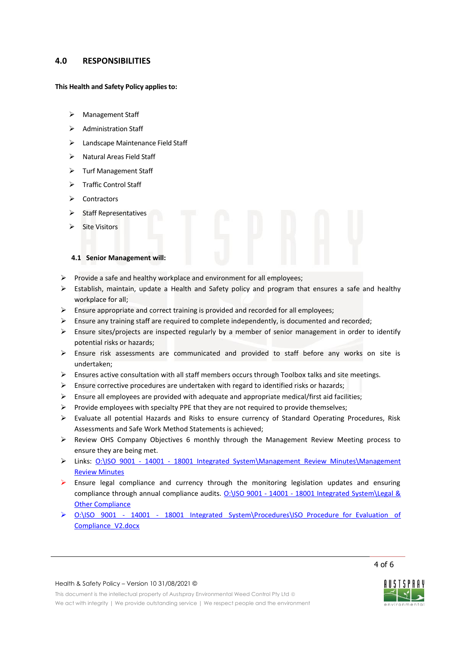# <span id="page-3-0"></span>**4.0 RESPONSIBILITIES**

#### **This Health and Safety Policy applies to:**

- > Management Staff
- > Administration Staff
- > Landscape Maintenance Field Staff
- $\triangleright$  Natural Areas Field Staff
- > Turf Management Staff
- > Traffic Control Staff
- $\triangleright$  Contractors
- $\triangleright$  Staff Representatives
- $\triangleright$  Site Visitors

# **4.1 Senior Management will:**

- $\triangleright$  Provide a safe and healthy workplace and environment for all employees;
- Establish, maintain, update a Health and Safety policy and program that ensures a safe and healthy workplace for all;
- $\triangleright$  Ensure appropriate and correct training is provided and recorded for all employees;
- $\triangleright$  Ensure any training staff are required to complete independently, is documented and recorded;
- $\triangleright$  Ensure sites/projects are inspected regularly by a member of senior management in order to identify potential risks or hazards;
- $\triangleright$  Ensure risk assessments are communicated and provided to staff before any works on site is undertaken;
- Ensures active consultation with all staff members occurs through Toolbox talks and site meetings.
- $\triangleright$  Ensure corrective procedures are undertaken with regard to identified risks or hazards;
- $\triangleright$  Ensure all employees are provided with adequate and appropriate medical/first aid facilities;
- $\triangleright$  Provide employees with specialty PPE that they are not required to provide themselves;
- Evaluate all potential Hazards and Risks to ensure currency of Standard Operating Procedures, Risk Assessments and Safe Work Method Statements is achieved;
- Review OHS Company Objectives 6 monthly through the Management Review Meeting process to ensure they are being met.
- > Links: 0:\ISO 9001 14001 18001 Integrated System\Management Review Minutes\Management [Review Minutes](file://///nas-lo03/austspray/data/Operations/ISO%209001%20-%2014001%20-%2018001%20Integrated%20System/Management%20Review%20Minutes/Management%20Review%20Minutes)
- $\triangleright$  Ensure legal compliance and currency through the monitoring legislation updates and ensuring compliance through annual compliance audits. O:\ISO 9001 - 14001 - [18001 Integrated System\Legal &](file://///nas-lo03/austspray/data/Operations/ISO%209001%20-%2014001%20-%2018001%20Integrated%20System/Legal%20&%20Other%20Compliance)  **[Other Compliance](file://///nas-lo03/austspray/data/Operations/ISO%209001%20-%2014001%20-%2018001%20Integrated%20System/Legal%20&%20Other%20Compliance)**
- ▶ 0:\ISO 9001 14001 18001 Integrated System\Procedures\ISO Procedure for Evaluation of Compliance V2.docx

4 of 6

#### Health & Safety Policy – Version 10 31/08/2021 ©

This document is the intellectual property of Austspray Environmental Weed Control Pty Ltd © We act with integrity | We provide outstanding service | We respect people and the environment

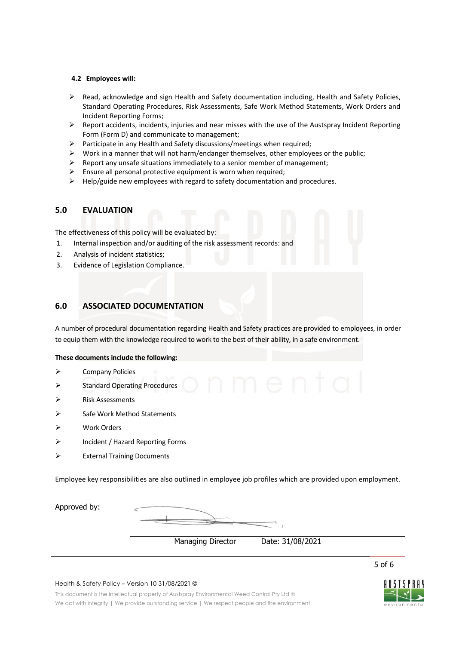### **4.2 Employees will:**

- $\triangleright$  Read, acknowledge and sign Health and Safety documentation including, Health and Safety Policies, Standard Operating Procedures, Risk Assessments, Safe Work Method Statements, Work Orders and Incident Reporting Forms;
- $\triangleright$  Report accidents, incidents, injuries and near misses with the use of the Austspray Incident Reporting Form (Form D) and communicate to management;
- $\triangleright$  Participate in any Health and Safety discussions/meetings when required;
- $\triangleright$  Work in a manner that will not harm/endanger themselves, other employees or the public;
- $\triangleright$  Report any unsafe situations immediately to a senior member of management;
- $\triangleright$  Ensure all personal protective equipment is worn when required;
- <span id="page-4-0"></span> $\triangleright$  Help/guide new employees with regard to safety documentation and procedures.

# **5.0 EVALUATION**

The effectiveness of this policy will be evaluated by:

- 1. Internal inspection and/or auditing of the risk assessment records: and
- 2. Analysis of incident statistics;
- 3. Evidence of Legislation Compliance.

# <span id="page-4-1"></span>**6.0 ASSOCIATED DOCUMENTATION**

A number of procedural documentation regarding Health and Safety practices are provided to employees, in order to equip them with the knowledge required to work to the best of their ability, in a safe environment.

#### **These documents include the following:**

- Company Policies
- Standard Operating Procedures
- Risk Assessments
- $\triangleright$  Safe Work Method Statements
- Work Orders
- Incident / Hazard Reporting Forms
- External Training Documents

Employee key responsibilities are also outlined in employee job profiles which are provided upon employment.

| Approved by: |                          |                  |  |
|--------------|--------------------------|------------------|--|
|              | <b>Managing Director</b> | Date: 31/08/2021 |  |

#### Health & Safety Policy – Version 10 31/08/2021 ©

This document is the intellectual property of Austspray Environmental Weed Control Pty Ltd © We act with integrity | We provide outstanding service | We respect people and the environment



5 of 6